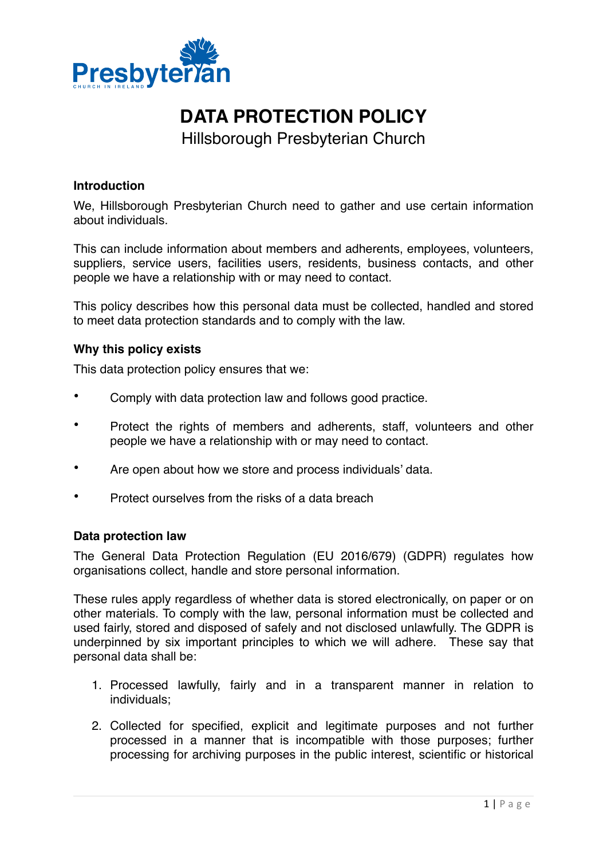

# **DATA PROTECTION POLICY**

Hillsborough Presbyterian Church

## **Introduction**

We, Hillsborough Presbyterian Church need to gather and use certain information about individuals.

This can include information about members and adherents, employees, volunteers, suppliers, service users, facilities users, residents, business contacts, and other people we have a relationship with or may need to contact.

This policy describes how this personal data must be collected, handled and stored to meet data protection standards and to comply with the law.

## **Why this policy exists**

This data protection policy ensures that we:

- Comply with data protection law and follows good practice.
- Protect the rights of members and adherents, staff, volunteers and other people we have a relationship with or may need to contact.
- Are open about how we store and process individuals' data.
- Protect ourselves from the risks of a data breach

## **Data protection law**

The General Data Protection Regulation (EU 2016/679) (GDPR) regulates how organisations collect, handle and store personal information.

These rules apply regardless of whether data is stored electronically, on paper or on other materials. To comply with the law, personal information must be collected and used fairly, stored and disposed of safely and not disclosed unlawfully. The GDPR is underpinned by six important principles to which we will adhere. These say that personal data shall be:

- 1. Processed lawfully, fairly and in a transparent manner in relation to individuals;
- 2. Collected for specified, explicit and legitimate purposes and not further processed in a manner that is incompatible with those purposes; further processing for archiving purposes in the public interest, scientific or historical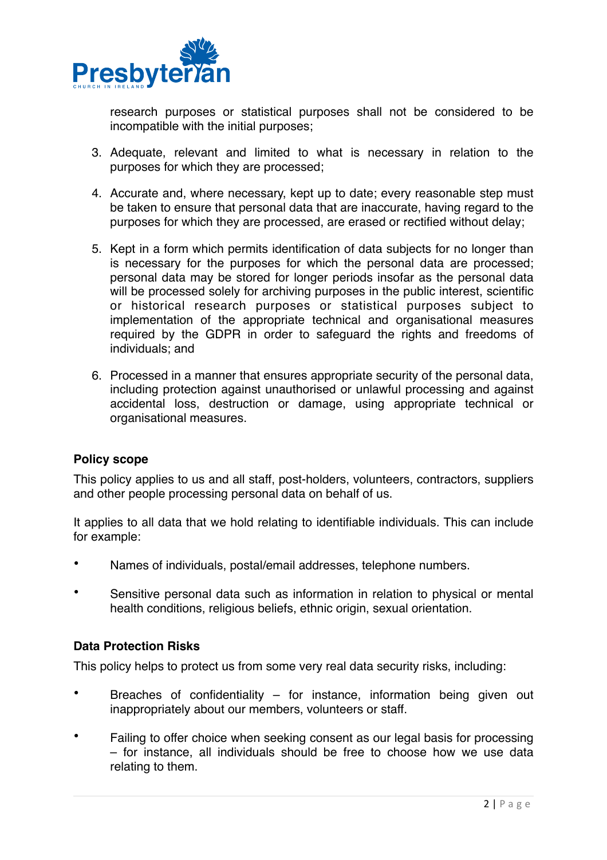

research purposes or statistical purposes shall not be considered to be incompatible with the initial purposes;

- 3. Adequate, relevant and limited to what is necessary in relation to the purposes for which they are processed;
- 4. Accurate and, where necessary, kept up to date; every reasonable step must be taken to ensure that personal data that are inaccurate, having regard to the purposes for which they are processed, are erased or rectified without delay;
- 5. Kept in a form which permits identification of data subjects for no longer than is necessary for the purposes for which the personal data are processed; personal data may be stored for longer periods insofar as the personal data will be processed solely for archiving purposes in the public interest, scientific or historical research purposes or statistical purposes subject to implementation of the appropriate technical and organisational measures required by the GDPR in order to safeguard the rights and freedoms of individuals; and
- 6. Processed in a manner that ensures appropriate security of the personal data, including protection against unauthorised or unlawful processing and against accidental loss, destruction or damage, using appropriate technical or organisational measures.

## **Policy scope**

This policy applies to us and all staff, post-holders, volunteers, contractors, suppliers and other people processing personal data on behalf of us.

It applies to all data that we hold relating to identifiable individuals. This can include for example:

- Names of individuals, postal/email addresses, telephone numbers.
- Sensitive personal data such as information in relation to physical or mental health conditions, religious beliefs, ethnic origin, sexual orientation.

## **Data Protection Risks**

This policy helps to protect us from some very real data security risks, including:

- Breaches of confidentiality  $-$  for instance, information being given out inappropriately about our members, volunteers or staff.
- Failing to offer choice when seeking consent as our legal basis for processing – for instance, all individuals should be free to choose how we use data relating to them.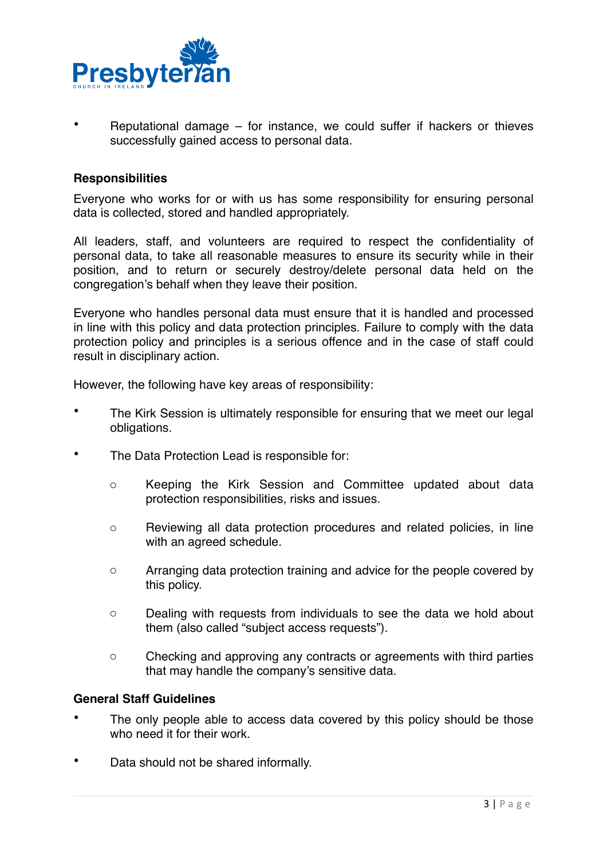

• Reputational damage – for instance, we could suffer if hackers or thieves successfully gained access to personal data.

#### **Responsibilities**

Everyone who works for or with us has some responsibility for ensuring personal data is collected, stored and handled appropriately.

All leaders, staff, and volunteers are required to respect the confidentiality of personal data, to take all reasonable measures to ensure its security while in their position, and to return or securely destroy/delete personal data held on the congregation's behalf when they leave their position.

Everyone who handles personal data must ensure that it is handled and processed in line with this policy and data protection principles. Failure to comply with the data protection policy and principles is a serious offence and in the case of staff could result in disciplinary action.

However, the following have key areas of responsibility:

- The Kirk Session is ultimately responsible for ensuring that we meet our legal obligations.
- The Data Protection Lead is responsible for:
	- o Keeping the Kirk Session and Committee updated about data protection responsibilities, risks and issues.
	- o Reviewing all data protection procedures and related policies, in line with an agreed schedule.
	- o Arranging data protection training and advice for the people covered by this policy.
	- o Dealing with requests from individuals to see the data we hold about them (also called "subject access requests").
	- o Checking and approving any contracts or agreements with third parties that may handle the company's sensitive data.

#### **General Staff Guidelines**

- The only people able to access data covered by this policy should be those who need it for their work.
- Data should not be shared informally.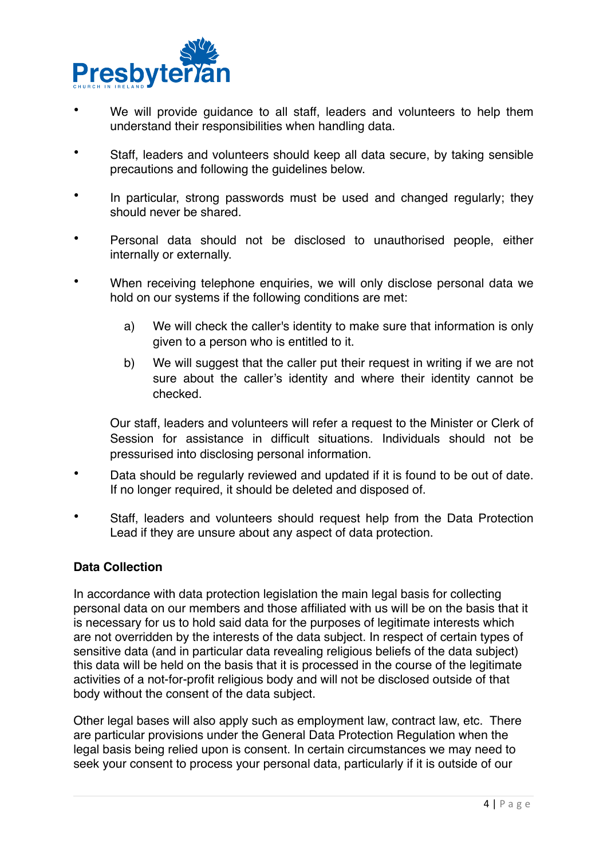

- We will provide quidance to all staff, leaders and volunteers to help them understand their responsibilities when handling data.
- Staff, leaders and volunteers should keep all data secure, by taking sensible precautions and following the guidelines below.
- In particular, strong passwords must be used and changed regularly; they should never be shared.
- Personal data should not be disclosed to unauthorised people, either internally or externally.
- When receiving telephone enquiries, we will only disclose personal data we hold on our systems if the following conditions are met:
	- a) We will check the caller's identity to make sure that information is only given to a person who is entitled to it.
	- b) We will suggest that the caller put their request in writing if we are not sure about the caller's identity and where their identity cannot be checked.

Our staff, leaders and volunteers will refer a request to the Minister or Clerk of Session for assistance in difficult situations. Individuals should not be pressurised into disclosing personal information.

- Data should be regularly reviewed and updated if it is found to be out of date. If no longer required, it should be deleted and disposed of.
- Staff, leaders and volunteers should request help from the Data Protection Lead if they are unsure about any aspect of data protection.

## **Data Collection**

In accordance with data protection legislation the main legal basis for collecting personal data on our members and those affiliated with us will be on the basis that it is necessary for us to hold said data for the purposes of legitimate interests which are not overridden by the interests of the data subject. In respect of certain types of sensitive data (and in particular data revealing religious beliefs of the data subject) this data will be held on the basis that it is processed in the course of the legitimate activities of a not-for-profit religious body and will not be disclosed outside of that body without the consent of the data subject.

Other legal bases will also apply such as employment law, contract law, etc. There are particular provisions under the General Data Protection Regulation when the legal basis being relied upon is consent. In certain circumstances we may need to seek your consent to process your personal data, particularly if it is outside of our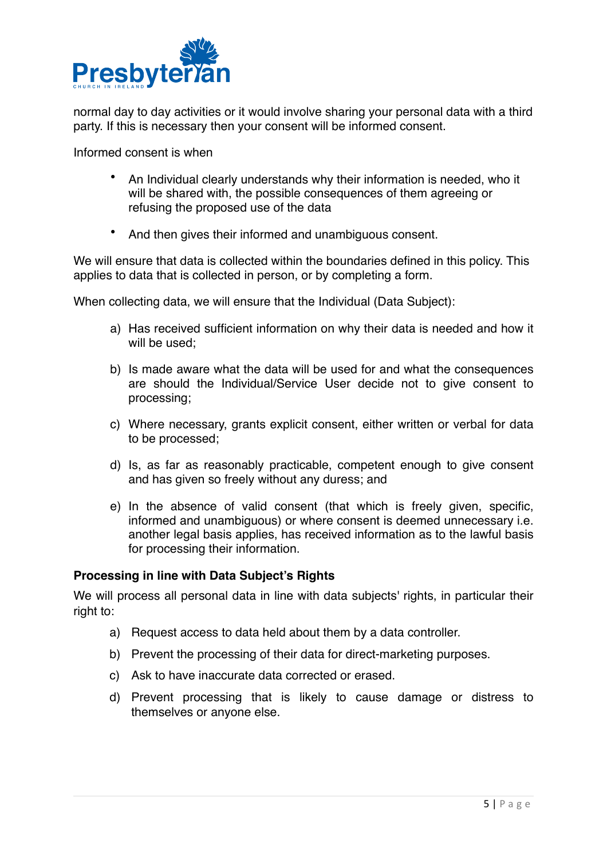

normal day to day activities or it would involve sharing your personal data with a third party. If this is necessary then your consent will be informed consent.

Informed consent is when

- An Individual clearly understands why their information is needed, who it will be shared with, the possible consequences of them agreeing or refusing the proposed use of the data
- And then gives their informed and unambiguous consent.

We will ensure that data is collected within the boundaries defined in this policy. This applies to data that is collected in person, or by completing a form.

When collecting data, we will ensure that the Individual (Data Subject):

- a) Has received sufficient information on why their data is needed and how it will be used:
- b) Is made aware what the data will be used for and what the consequences are should the Individual/Service User decide not to give consent to processing;
- c) Where necessary, grants explicit consent, either written or verbal for data to be processed;
- d) Is, as far as reasonably practicable, competent enough to give consent and has given so freely without any duress; and
- e) In the absence of valid consent (that which is freely given, specific, informed and unambiguous) or where consent is deemed unnecessary i.e. another legal basis applies, has received information as to the lawful basis for processing their information.

## **Processing in line with Data Subject's Rights**

We will process all personal data in line with data subjects' rights, in particular their right to:

- a) Request access to data held about them by a data controller.
- b) Prevent the processing of their data for direct-marketing purposes.
- c) Ask to have inaccurate data corrected or erased.
- d) Prevent processing that is likely to cause damage or distress to themselves or anyone else.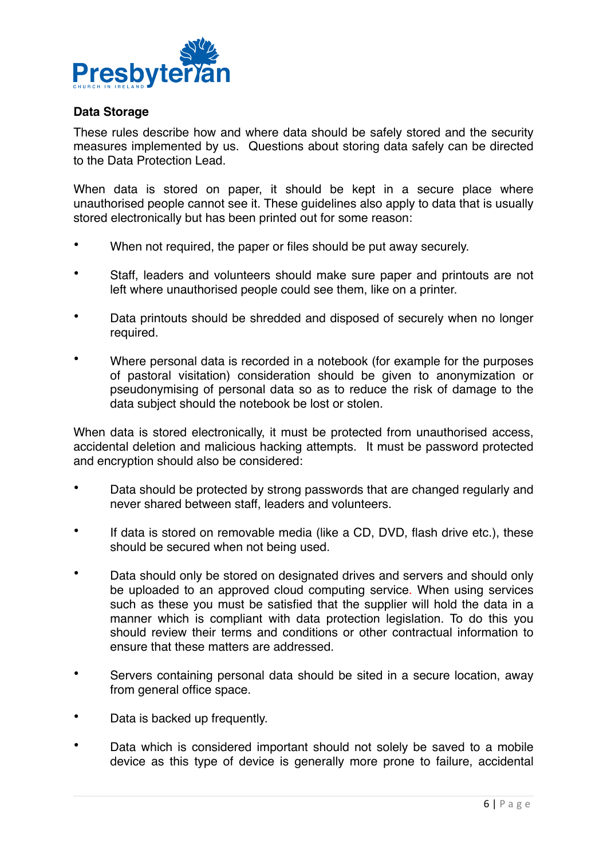

## **Data Storage**

These rules describe how and where data should be safely stored and the security measures implemented by us. Questions about storing data safely can be directed to the Data Protection Lead.

When data is stored on paper, it should be kept in a secure place where unauthorised people cannot see it. These guidelines also apply to data that is usually stored electronically but has been printed out for some reason:

- When not required, the paper or files should be put away securely.
- Staff, leaders and volunteers should make sure paper and printouts are not left where unauthorised people could see them, like on a printer.
- Data printouts should be shredded and disposed of securely when no longer required.
- Where personal data is recorded in a notebook (for example for the purposes of pastoral visitation) consideration should be given to anonymization or pseudonymising of personal data so as to reduce the risk of damage to the data subject should the notebook be lost or stolen.

When data is stored electronically, it must be protected from unauthorised access, accidental deletion and malicious hacking attempts. It must be password protected and encryption should also be considered:

- Data should be protected by strong passwords that are changed regularly and never shared between staff, leaders and volunteers.
- If data is stored on removable media (like a CD, DVD, flash drive etc.), these should be secured when not being used.
- Data should only be stored on designated drives and servers and should only be uploaded to an approved cloud computing service. When using services such as these you must be satisfied that the supplier will hold the data in a manner which is compliant with data protection legislation. To do this you should review their terms and conditions or other contractual information to ensure that these matters are addressed.
- Servers containing personal data should be sited in a secure location, away from general office space.
- Data is backed up frequently.
- Data which is considered important should not solely be saved to a mobile device as this type of device is generally more prone to failure, accidental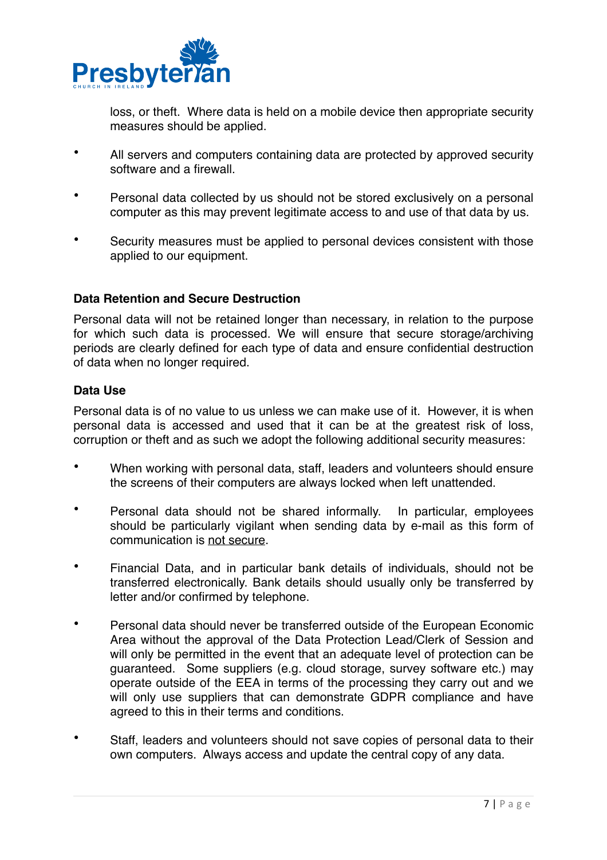

loss, or theft. Where data is held on a mobile device then appropriate security measures should be applied.

- All servers and computers containing data are protected by approved security software and a firewall.
- Personal data collected by us should not be stored exclusively on a personal computer as this may prevent legitimate access to and use of that data by us.
- Security measures must be applied to personal devices consistent with those applied to our equipment.

## **Data Retention and Secure Destruction**

Personal data will not be retained longer than necessary, in relation to the purpose for which such data is processed. We will ensure that secure storage/archiving periods are clearly defined for each type of data and ensure confidential destruction of data when no longer required.

## **Data Use**

Personal data is of no value to us unless we can make use of it. However, it is when personal data is accessed and used that it can be at the greatest risk of loss, corruption or theft and as such we adopt the following additional security measures:

- When working with personal data, staff, leaders and volunteers should ensure the screens of their computers are always locked when left unattended.
- Personal data should not be shared informally. In particular, employees should be particularly vigilant when sending data by e-mail as this form of communication is not secure.
- Financial Data, and in particular bank details of individuals, should not be transferred electronically. Bank details should usually only be transferred by letter and/or confirmed by telephone.
- Personal data should never be transferred outside of the European Economic Area without the approval of the Data Protection Lead/Clerk of Session and will only be permitted in the event that an adequate level of protection can be guaranteed. Some suppliers (e.g. cloud storage, survey software etc.) may operate outside of the EEA in terms of the processing they carry out and we will only use suppliers that can demonstrate GDPR compliance and have agreed to this in their terms and conditions.
- Staff, leaders and volunteers should not save copies of personal data to their own computers. Always access and update the central copy of any data.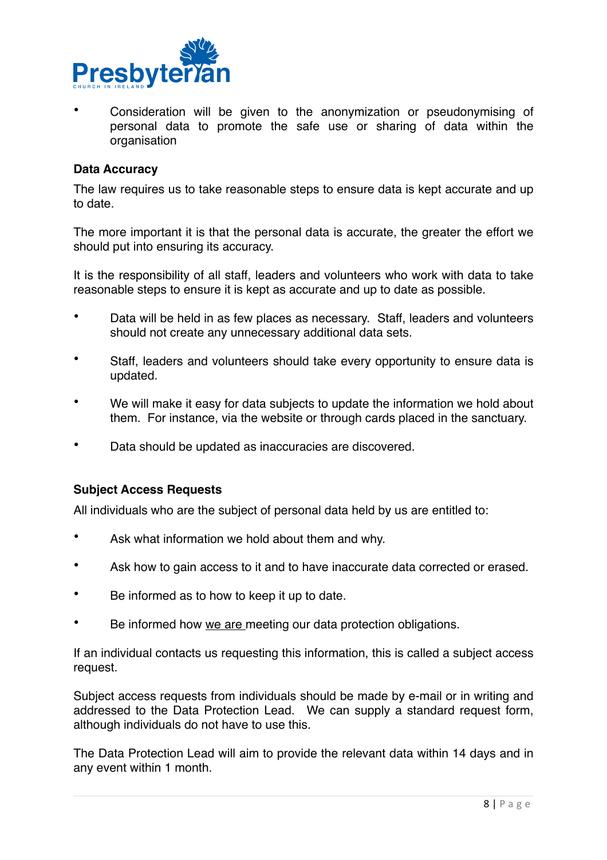

• Consideration will be given to the anonymization or pseudonymising of personal data to promote the safe use or sharing of data within the organisation

#### **Data Accuracy**

The law requires us to take reasonable steps to ensure data is kept accurate and up to date.

The more important it is that the personal data is accurate, the greater the effort we should put into ensuring its accuracy.

It is the responsibility of all staff, leaders and volunteers who work with data to take reasonable steps to ensure it is kept as accurate and up to date as possible.

- Data will be held in as few places as necessary. Staff, leaders and volunteers should not create any unnecessary additional data sets.
- Staff, leaders and volunteers should take every opportunity to ensure data is updated.
- We will make it easy for data subjects to update the information we hold about them. For instance, via the website or through cards placed in the sanctuary.
- Data should be updated as inaccuracies are discovered.

#### **Subject Access Requests**

All individuals who are the subject of personal data held by us are entitled to:

- Ask what information we hold about them and why.
- Ask how to gain access to it and to have inaccurate data corrected or erased.
- Be informed as to how to keep it up to date.
- Be informed how we are meeting our data protection obligations.

If an individual contacts us requesting this information, this is called a subject access request.

Subject access requests from individuals should be made by e-mail or in writing and addressed to the Data Protection Lead. We can supply a standard request form, although individuals do not have to use this.

The Data Protection Lead will aim to provide the relevant data within 14 days and in any event within 1 month.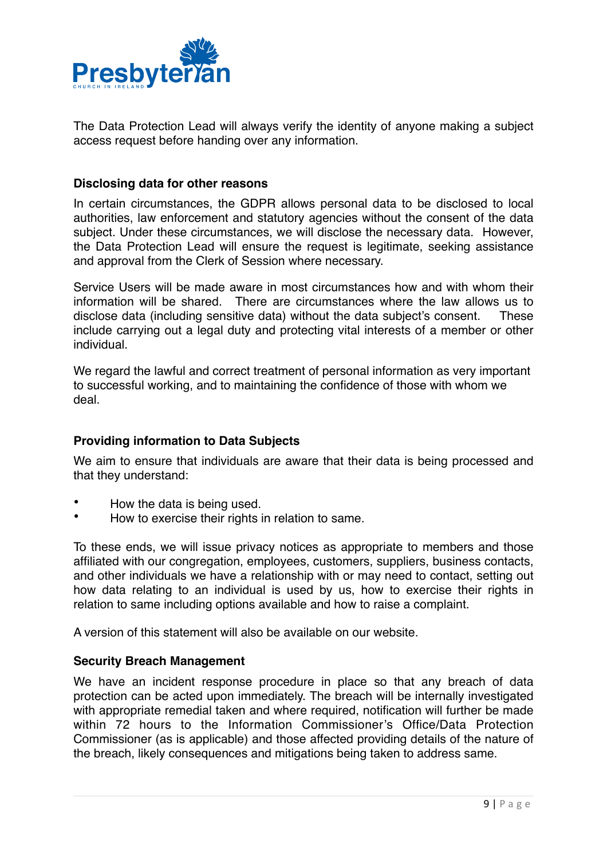

The Data Protection Lead will always verify the identity of anyone making a subject access request before handing over any information.

## **Disclosing data for other reasons**

In certain circumstances, the GDPR allows personal data to be disclosed to local authorities, law enforcement and statutory agencies without the consent of the data subject. Under these circumstances, we will disclose the necessary data. However, the Data Protection Lead will ensure the request is legitimate, seeking assistance and approval from the Clerk of Session where necessary.

Service Users will be made aware in most circumstances how and with whom their information will be shared. There are circumstances where the law allows us to disclose data (including sensitive data) without the data subject's consent. These include carrying out a legal duty and protecting vital interests of a member or other individual.

We regard the lawful and correct treatment of personal information as very important to successful working, and to maintaining the confidence of those with whom we deal.

## **Providing information to Data Subjects**

We aim to ensure that individuals are aware that their data is being processed and that they understand:

- How the data is being used.
- How to exercise their rights in relation to same.

To these ends, we will issue privacy notices as appropriate to members and those affiliated with our congregation, employees, customers, suppliers, business contacts, and other individuals we have a relationship with or may need to contact, setting out how data relating to an individual is used by us, how to exercise their rights in relation to same including options available and how to raise a complaint.

A version of this statement will also be available on our website.

## **Security Breach Management**

We have an incident response procedure in place so that any breach of data protection can be acted upon immediately. The breach will be internally investigated with appropriate remedial taken and where required, notification will further be made within 72 hours to the Information Commissioner's Office/Data Protection Commissioner (as is applicable) and those affected providing details of the nature of the breach, likely consequences and mitigations being taken to address same.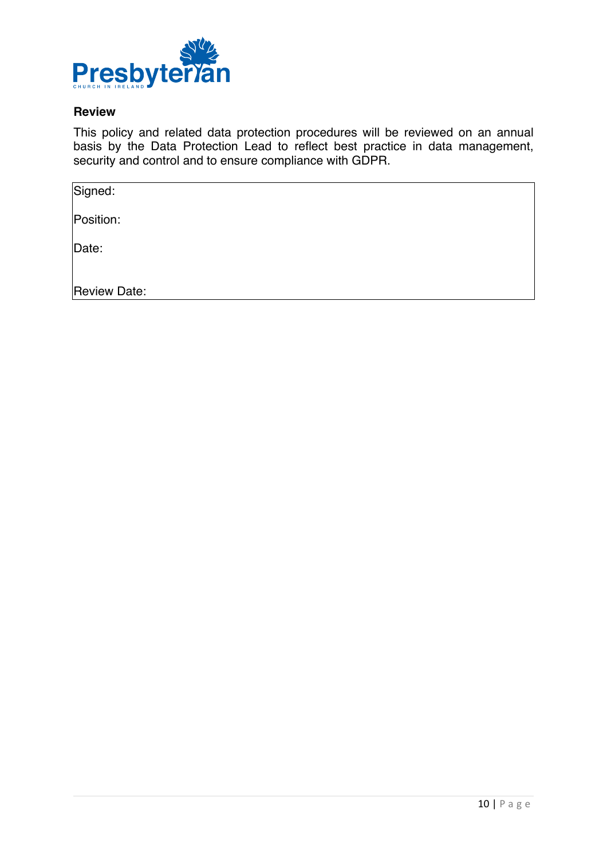

## **Review**

This policy and related data protection procedures will be reviewed on an annual basis by the Data Protection Lead to reflect best practice in data management, security and control and to ensure compliance with GDPR.

| Signed:       |  |
|---------------|--|
| Position:     |  |
| $\vert$ Date: |  |
| Review Date:  |  |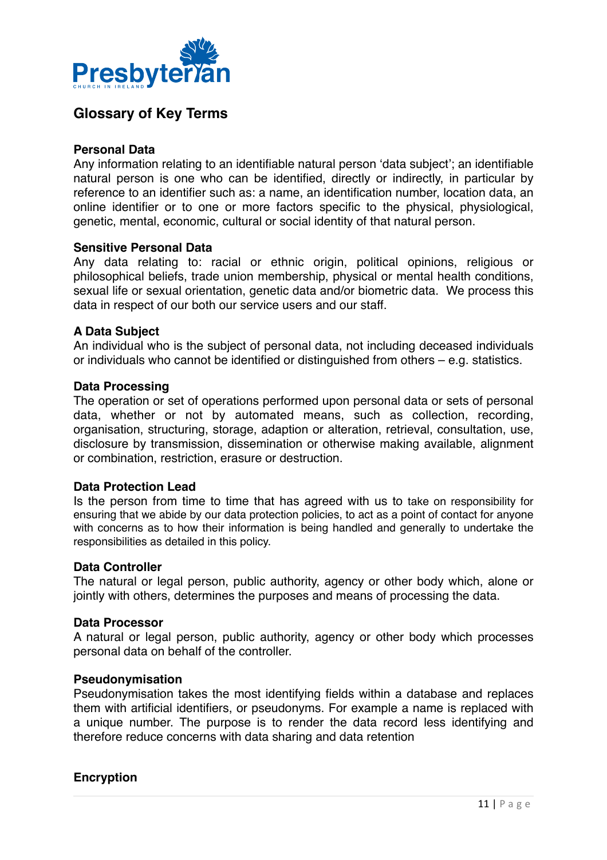

## **Glossary of Key Terms**

#### **Personal Data**

Any information relating to an identifiable natural person 'data subject'; an identifiable natural person is one who can be identified, directly or indirectly, in particular by reference to an identifier such as: a name, an identification number, location data, an online identifier or to one or more factors specific to the physical, physiological, genetic, mental, economic, cultural or social identity of that natural person.

#### **Sensitive Personal Data**

Any data relating to: racial or ethnic origin, political opinions, religious or philosophical beliefs, trade union membership, physical or mental health conditions, sexual life or sexual orientation, genetic data and/or biometric data. We process this data in respect of our both our service users and our staff.

#### **A Data Subject**

An individual who is the subject of personal data, not including deceased individuals or individuals who cannot be identified or distinguished from others – e.g. statistics.

#### **Data Processing**

The operation or set of operations performed upon personal data or sets of personal data, whether or not by automated means, such as collection, recording, organisation, structuring, storage, adaption or alteration, retrieval, consultation, use, disclosure by transmission, dissemination or otherwise making available, alignment or combination, restriction, erasure or destruction.

#### **Data Protection Lead**

Is the person from time to time that has agreed with us to take on responsibility for ensuring that we abide by our data protection policies, to act as a point of contact for anyone with concerns as to how their information is being handled and generally to undertake the responsibilities as detailed in this policy.

#### **Data Controller**

The natural or legal person, public authority, agency or other body which, alone or jointly with others, determines the purposes and means of processing the data.

#### **Data Processor**

A natural or legal person, public authority, agency or other body which processes personal data on behalf of the controller.

#### **Pseudonymisation**

Pseudonymisation takes the most identifying fields within a database and replaces them with artificial identifiers, or pseudonyms. For example a name is replaced with a unique number. The purpose is to render the data record less identifying and therefore reduce concerns with data sharing and data retention

#### **Encryption**